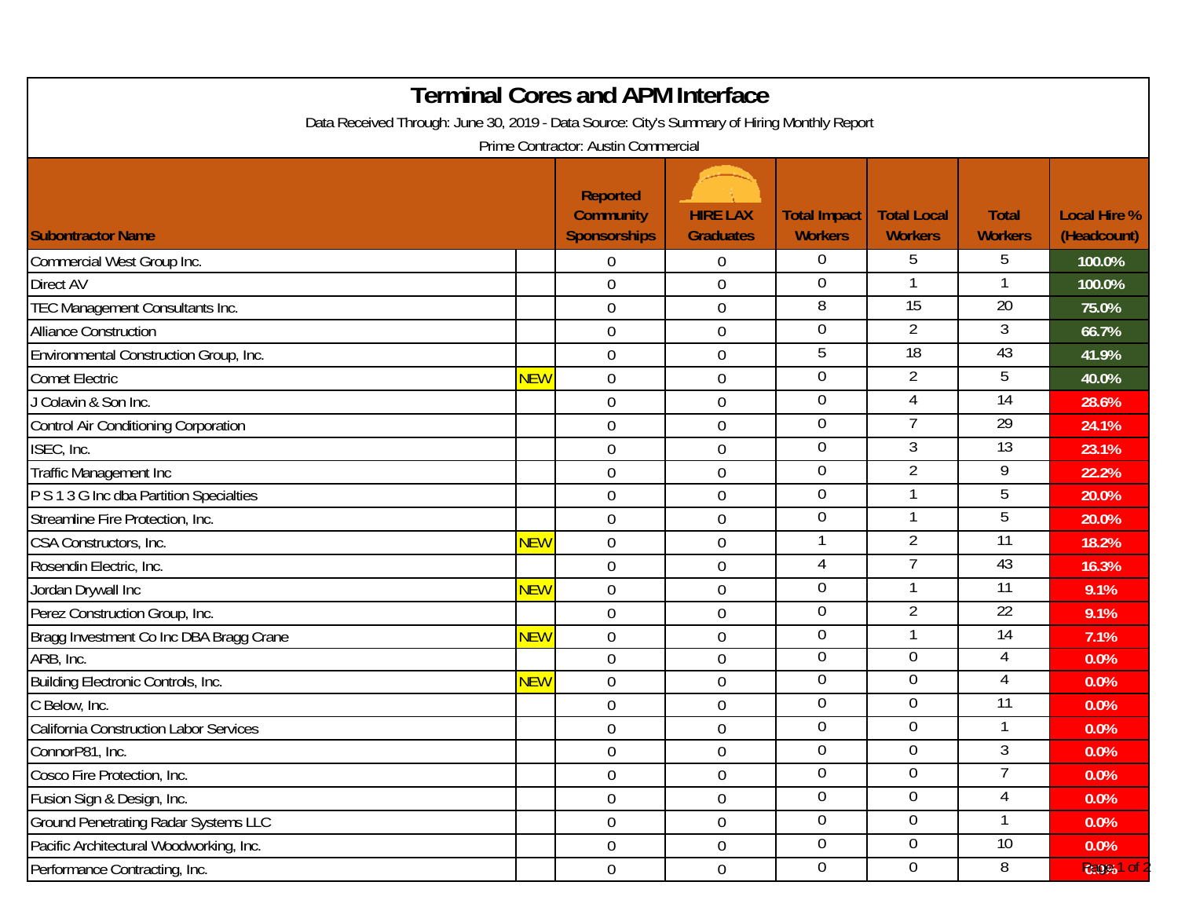| <b>Terminal Cores and APM Interface</b><br>Data Received Through: June 30, 2019 - Data Source: City's Summary of Hiring Monthly Report<br>Prime Contractor: Austin Commercial |            |                                                            |                                     |                                       |                                      |                                |                                    |  |  |  |  |
|-------------------------------------------------------------------------------------------------------------------------------------------------------------------------------|------------|------------------------------------------------------------|-------------------------------------|---------------------------------------|--------------------------------------|--------------------------------|------------------------------------|--|--|--|--|
| <b>Subontractor Name</b>                                                                                                                                                      |            | <b>Reported</b><br><b>Community</b><br><b>Sponsorships</b> | <b>HIRE LAX</b><br><b>Graduates</b> | <b>Total Impact</b><br><b>Workers</b> | <b>Total Local</b><br><b>Workers</b> | <b>Total</b><br><b>Workers</b> | <b>Local Hire %</b><br>(Headcount) |  |  |  |  |
| Commercial West Group Inc.                                                                                                                                                    |            | $\Omega$                                                   | $\Omega$                            | 0                                     | 5                                    | 5                              | 100.0%                             |  |  |  |  |
| <b>Direct AV</b>                                                                                                                                                              |            | $\overline{0}$                                             | $\boldsymbol{0}$                    | 0                                     |                                      |                                | 100.0%                             |  |  |  |  |
| TEC Management Consultants Inc.                                                                                                                                               |            | $\overline{0}$                                             | $\boldsymbol{0}$                    | 8                                     | $\overline{15}$                      | $\overline{20}$                | 75.0%                              |  |  |  |  |
| <b>Alliance Construction</b>                                                                                                                                                  |            | $\mathbf 0$                                                | $\mathbf 0$                         | $\overline{0}$                        | $\overline{2}$                       | 3                              | 66.7%                              |  |  |  |  |
| Environmental Construction Group, Inc.                                                                                                                                        |            | $\overline{0}$                                             | $\mathbf 0$                         | 5                                     | $\overline{18}$                      | 43                             | 41.9%                              |  |  |  |  |
| <b>Comet Electric</b>                                                                                                                                                         | <b>NEW</b> | $\mathbf 0$                                                | $\boldsymbol{0}$                    | 0                                     | $\overline{2}$                       | 5                              | 40.0%                              |  |  |  |  |
| J Colavin & Son Inc.                                                                                                                                                          |            | $\mathbf 0$                                                | $\boldsymbol{0}$                    | $\overline{0}$                        | 4                                    | $\overline{14}$                | 28.6%                              |  |  |  |  |
| <b>Control Air Conditioning Corporation</b>                                                                                                                                   |            | $\mathbf 0$                                                | $\mathbf 0$                         | 0                                     | $\overline{7}$                       | 29                             | 24.1%                              |  |  |  |  |
| ISEC, Inc.                                                                                                                                                                    |            | $\overline{0}$                                             | $\boldsymbol{0}$                    | 0                                     | 3                                    | 13                             | 23.1%                              |  |  |  |  |
| <b>Traffic Management Inc</b>                                                                                                                                                 |            | $\mathbf 0$                                                | $\mathbf 0$                         | $\overline{0}$                        | $\overline{2}$                       | 9                              | 22.2%                              |  |  |  |  |
| P S 1 3 G Inc dba Partition Specialties                                                                                                                                       |            | $\overline{0}$                                             | $\mathbf 0$                         | 0                                     |                                      | 5                              | 20.0%                              |  |  |  |  |
| Streamline Fire Protection, Inc.                                                                                                                                              |            | $\overline{0}$                                             | $\boldsymbol{0}$                    | 0                                     |                                      | 5                              | 20.0%                              |  |  |  |  |
| CSA Constructors, Inc.                                                                                                                                                        | <b>NEW</b> | $\overline{0}$                                             | $\mathbf 0$                         | 1                                     | $\overline{2}$                       | 11                             | 18.2%                              |  |  |  |  |
| Rosendin Electric, Inc.                                                                                                                                                       |            | $\mathbf 0$                                                | $\boldsymbol{0}$                    | 4                                     |                                      | 43                             | 16.3%                              |  |  |  |  |
| Jordan Drywall Inc                                                                                                                                                            | <b>NEW</b> | 0                                                          | $\boldsymbol{0}$                    | 0                                     |                                      | $\overline{11}$                | 9.1%                               |  |  |  |  |
| Perez Construction Group, Inc.                                                                                                                                                |            | $\overline{0}$                                             | $\mathbf 0$                         | $\overline{0}$                        | $\overline{2}$                       | $\overline{22}$                | 9.1%                               |  |  |  |  |
| Bragg Investment Co Inc DBA Bragg Crane                                                                                                                                       | <b>NEW</b> | 0                                                          | $\mathbf 0$                         | 0                                     |                                      | 14                             | 7.1%                               |  |  |  |  |
| ARB, Inc.                                                                                                                                                                     |            | 0                                                          | $\boldsymbol{0}$                    | 0                                     | $\overline{0}$                       | 4                              | 0.0%                               |  |  |  |  |
| Building Electronic Controls, Inc.                                                                                                                                            | <b>NEW</b> | $\mathbf 0$                                                | $\boldsymbol{0}$                    | 0                                     | $\overline{0}$                       | 4                              | 0.0%                               |  |  |  |  |
| C Below, Inc.                                                                                                                                                                 |            | 0                                                          | $\boldsymbol{0}$                    | 0                                     | $\overline{0}$                       | 11                             | 0.0%                               |  |  |  |  |
| California Construction Labor Services                                                                                                                                        |            | $\mathbf 0$                                                | $\mathbf 0$                         | $\boldsymbol{0}$                      | $\overline{0}$                       |                                | 0.0%                               |  |  |  |  |
| ConnorP81, Inc.                                                                                                                                                               |            | $\overline{0}$                                             | $\boldsymbol{0}$                    | 0                                     | $\overline{0}$                       | 3                              | 0.0%                               |  |  |  |  |
| Cosco Fire Protection, Inc.                                                                                                                                                   |            | $\mathbf 0$                                                | $\boldsymbol{0}$                    | 0                                     | $\Omega$                             | 7                              | 0.0%                               |  |  |  |  |
| Fusion Sign & Design, Inc.                                                                                                                                                    |            | $\overline{0}$                                             | $\overline{0}$                      | $\overline{0}$                        | $\overline{0}$                       | 4                              | 0.0%                               |  |  |  |  |
| <b>Ground Penetrating Radar Systems LLC</b>                                                                                                                                   |            | $\mathbf 0$                                                | $\mathbf 0$                         | $\overline{0}$                        | $\overline{0}$                       |                                | 0.0%                               |  |  |  |  |
| Pacific Architectural Woodworking, Inc.                                                                                                                                       |            | $\overline{0}$                                             | $\boldsymbol{0}$                    | $\overline{0}$                        | $\overline{0}$                       | 10                             | $0.0\%$                            |  |  |  |  |
| Performance Contracting, Inc.                                                                                                                                                 |            | $\overline{0}$                                             | $0\,$                               | $\overline{0}$                        | $\overline{0}$                       | 8                              | 0:0%1 of                           |  |  |  |  |